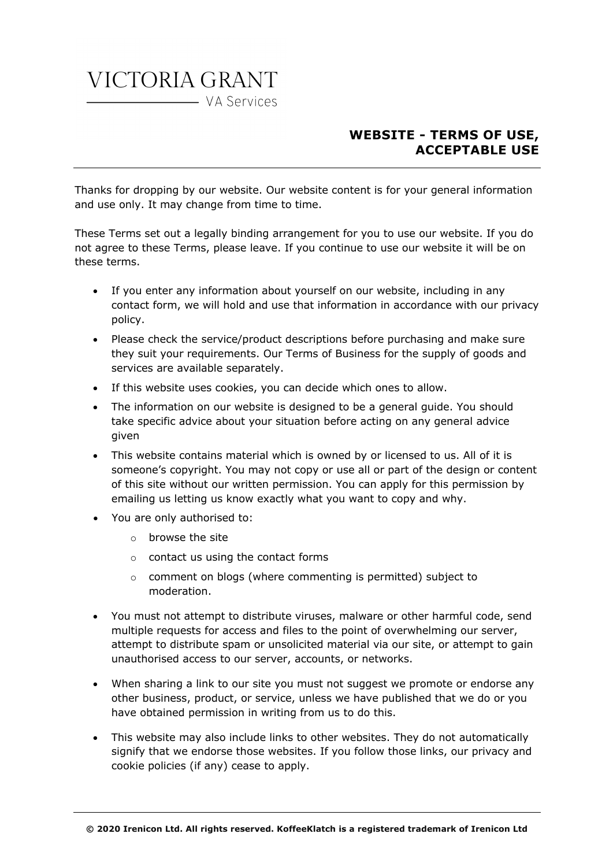## VICTORIA GRANT WA Services

## **WEBSITE - TERMS OF USE, ACCEPTABLE USE**

Thanks for dropping by our website. Our website content is for your general information and use only. It may change from time to time.

These Terms set out a legally binding arrangement for you to use our website. If you do not agree to these Terms, please leave. If you continue to use our website it will be on these terms.

- If you enter any information about yourself on our website, including in any contact form, we will hold and use that information in accordance with our privacy policy.
- Please check the service/product descriptions before purchasing and make sure they suit your requirements. Our Terms of Business for the supply of goods and services are available separately.
- If this website uses cookies, you can decide which ones to allow.
- The information on our website is designed to be a general guide. You should take specific advice about your situation before acting on any general advice given
- This website contains material which is owned by or licensed to us. All of it is someone's copyright. You may not copy or use all or part of the design or content of this site without our written permission. You can apply for this permission by emailing us letting us know exactly what you want to copy and why.
- You are only authorised to:
	- o browse the site
	- o contact us using the contact forms
	- o comment on blogs (where commenting is permitted) subject to moderation.
- You must not attempt to distribute viruses, malware or other harmful code, send multiple requests for access and files to the point of overwhelming our server, attempt to distribute spam or unsolicited material via our site, or attempt to gain unauthorised access to our server, accounts, or networks.
- When sharing a link to our site you must not suggest we promote or endorse any other business, product, or service, unless we have published that we do or you have obtained permission in writing from us to do this.
- This website may also include links to other websites. They do not automatically signify that we endorse those websites. If you follow those links, our privacy and cookie policies (if any) cease to apply.